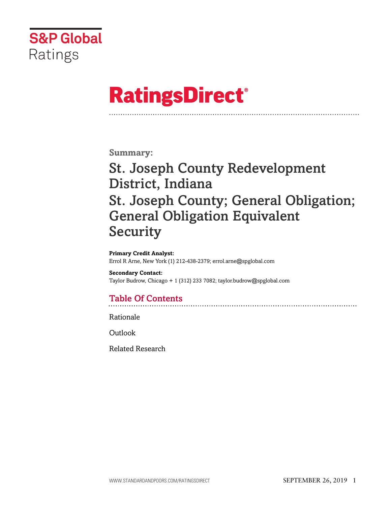

# **RatingsDirect®**

**Summary:**

# St. Joseph County Redevelopment District, Indiana St. Joseph County; General Obligation; General Obligation Equivalent Security

**Primary Credit Analyst:** Errol R Arne, New York (1) 212-438-2379; errol.arne@spglobal.com

**Secondary Contact:** Taylor Budrow, Chicago + 1 (312) 233 7082; taylor.budrow@spglobal.com

# Table Of Contents

[Rationale](#page-1-0)

[Outlook](#page-6-0)

[Related Research](#page-6-1)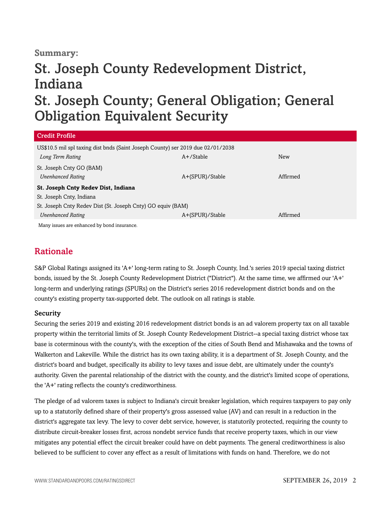## **Summary:**

# St. Joseph County Redevelopment District, Indiana

# St. Joseph County; General Obligation; General Obligation Equivalent Security

| Credit Profile                                                                  |                 |          |
|---------------------------------------------------------------------------------|-----------------|----------|
| US\$10.5 mil spl taxing dist bnds (Saint Joseph County) ser 2019 due 02/01/2038 |                 |          |
| Long Term Rating                                                                | $A+$ /Stable    | New      |
| St. Joseph Cnty GO (BAM)                                                        |                 |          |
| <b>Unenhanced Rating</b>                                                        | A+(SPUR)/Stable | Affirmed |
| St. Joseph Cnty Redev Dist, Indiana                                             |                 |          |
| St. Joseph Cnty, Indiana                                                        |                 |          |
| St. Joseph Cnty Redev Dist (St. Joseph Cnty) GO equiv (BAM)                     |                 |          |
| <b>Unenhanced Rating</b>                                                        | A+(SPUR)/Stable | Affirmed |
| Many issues are enhanced by bond insurance.                                     |                 |          |

## <span id="page-1-0"></span>Rationale

S&P Global Ratings assigned its 'A+' long-term rating to St. Joseph County, Ind.'s series 2019 special taxing district bonds, issued by the St. Joseph County Redevelopment District ("District"). At the same time, we affirmed our 'A+' long-term and underlying ratings (SPURs) on the District's series 2016 redevelopment district bonds and on the county's existing property tax-supported debt. The outlook on all ratings is stable.

#### Security

Securing the series 2019 and existing 2016 redevelopment district bonds is an ad valorem property tax on all taxable property within the territorial limits of St. Joseph County Redevelopment District--a special taxing district whose tax base is coterminous with the county's, with the exception of the cities of South Bend and Mishawaka and the towns of Walkerton and Lakeville. While the district has its own taxing ability, it is a department of St. Joseph County, and the district's board and budget, specifically its ability to levy taxes and issue debt, are ultimately under the county's authority. Given the parental relationship of the district with the county, and the district's limited scope of operations, the 'A+' rating reflects the county's creditworthiness.

The pledge of ad valorem taxes is subject to Indiana's circuit breaker legislation, which requires taxpayers to pay only up to a statutorily defined share of their property's gross assessed value (AV) and can result in a reduction in the district's aggregate tax levy. The levy to cover debt service, however, is statutorily protected, requiring the county to distribute circuit-breaker losses first, across nondebt service funds that receive property taxes, which in our view mitigates any potential effect the circuit breaker could have on debt payments. The general creditworthiness is also believed to be sufficient to cover any effect as a result of limitations with funds on hand. Therefore, we do not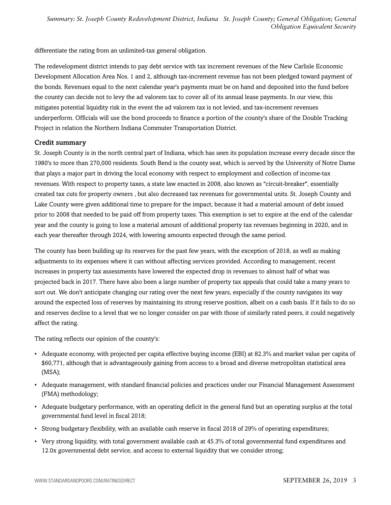differentiate the rating from an unlimited-tax general obligation.

The redevelopment district intends to pay debt service with tax increment revenues of the New Carlisle Economic Development Allocation Area Nos. 1 and 2, although tax-increment revenue has not been pledged toward payment of the bonds. Revenues equal to the next calendar year's payments must be on hand and deposited into the fund before the county can decide not to levy the ad valorem tax to cover all of its annual lease payments. In our view, this mitigates potential liquidity risk in the event the ad valorem tax is not levied, and tax-increment revenues underperform. Officials will use the bond proceeds to finance a portion of the county's share of the Double Tracking Project in relation the Northern Indiana Commuter Transportation District.

#### Credit summary

St. Joseph County is in the north central part of Indiana, which has seen its population increase every decade since the 1980's to more than 270,000 residents. South Bend is the county seat, which is served by the University of Notre Dame that plays a major part in driving the local economy with respect to employment and collection of income-tax revenues. With respect to property taxes, a state law enacted in 2008, also known as "circuit-breaker", essentially created tax cuts for property owners , but also decreased tax revenues for governmental units. St. Joseph County and Lake County were given additional time to prepare for the impact, because it had a material amount of debt issued prior to 2008 that needed to be paid off from property taxes. This exemption is set to expire at the end of the calendar year and the county is going to lose a material amount of additional property tax revenues beginning in 2020, and in each year thereafter through 2024, with lowering amounts expected through the same period.

The county has been building up its reserves for the past few years, with the exception of 2018, as well as making adjustments to its expenses where it can without affecting services provided. According to management, recent increases in property tax assessments have lowered the expected drop in revenues to almost half of what was projected back in 2017. There have also been a large number of property tax appeals that could take a many years to sort out. We don't anticipate changing our rating over the next few years, especially if the county navigates its way around the expected loss of reserves by maintaining its strong reserve position, albeit on a cash basis. If it fails to do so and reserves decline to a level that we no longer consider on par with those of similarly rated peers, it could negatively affect the rating.

The rating reflects our opinion of the county's:

- Adequate economy, with projected per capita effective buying income (EBI) at 82.3% and market value per capita of \$60,771, although that is advantageously gaining from access to a broad and diverse metropolitan statistical area (MSA);
- Adequate management, with standard financial policies and practices under our Financial Management Assessment (FMA) methodology;
- Adequate budgetary performance, with an operating deficit in the general fund but an operating surplus at the total governmental fund level in fiscal 2018;
- Strong budgetary flexibility, with an available cash reserve in fiscal 2018 of 29% of operating expenditures;
- Very strong liquidity, with total government available cash at 45.3% of total governmental fund expenditures and 12.0x governmental debt service, and access to external liquidity that we consider strong;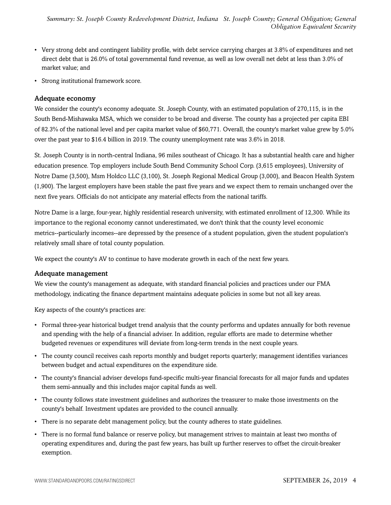- Very strong debt and contingent liability profile, with debt service carrying charges at 3.8% of expenditures and net direct debt that is 26.0% of total governmental fund revenue, as well as low overall net debt at less than 3.0% of market value; and
- Strong institutional framework score.

#### Adequate economy

We consider the county's economy adequate. St. Joseph County, with an estimated population of 270,115, is in the South Bend-Mishawaka MSA, which we consider to be broad and diverse. The county has a projected per capita EBI of 82.3% of the national level and per capita market value of \$60,771. Overall, the county's market value grew by 5.0% over the past year to \$16.4 billion in 2019. The county unemployment rate was 3.6% in 2018.

St. Joseph County is in north-central Indiana, 96 miles southeast of Chicago. It has a substantial health care and higher education presence. Top employers include South Bend Community School Corp. (3,615 employees), University of Notre Dame (3,500), Msm Holdco LLC (3,100), St. Joseph Regional Medical Group (3,000), and Beacon Health System (1,900). The largest employers have been stable the past five years and we expect them to remain unchanged over the next five years. Officials do not anticipate any material effects from the national tariffs.

Notre Dame is a large, four-year, highly residential research university, with estimated enrollment of 12,300. While its importance to the regional economy cannot underestimated, we don't think that the county level economic metrics--particularly incomes--are depressed by the presence of a student population, given the student population's relatively small share of total county population.

We expect the county's AV to continue to have moderate growth in each of the next few years.

#### Adequate management

We view the county's management as adequate, with standard financial policies and practices under our FMA methodology, indicating the finance department maintains adequate policies in some but not all key areas.

Key aspects of the county's practices are:

- Formal three-year historical budget trend analysis that the county performs and updates annually for both revenue and spending with the help of a financial adviser. In addition, regular efforts are made to determine whether budgeted revenues or expenditures will deviate from long-term trends in the next couple years.
- The county council receives cash reports monthly and budget reports quarterly; management identifies variances between budget and actual expenditures on the expenditure side.
- The county's financial adviser develops fund-specific multi-year financial forecasts for all major funds and updates them semi-annually and this includes major capital funds as well.
- The county follows state investment guidelines and authorizes the treasurer to make those investments on the county's behalf. Investment updates are provided to the council annually.
- There is no separate debt management policy, but the county adheres to state guidelines.
- There is no formal fund balance or reserve policy, but management strives to maintain at least two months of operating expenditures and, during the past few years, has built up further reserves to offset the circuit-breaker exemption.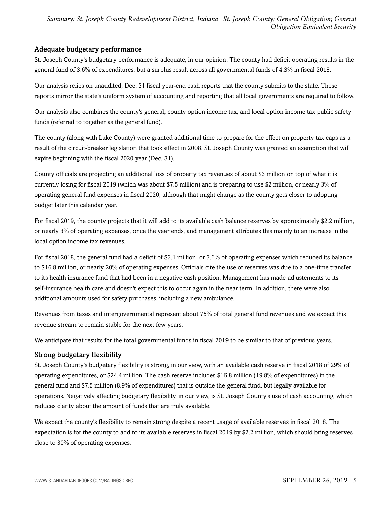*Summary: St. Joseph County Redevelopment District, Indiana St. Joseph County; General Obligation; General Obligation Equivalent Security*

#### Adequate budgetary performance

St. Joseph County's budgetary performance is adequate, in our opinion. The county had deficit operating results in the general fund of 3.6% of expenditures, but a surplus result across all governmental funds of 4.3% in fiscal 2018.

Our analysis relies on unaudited, Dec. 31 fiscal year-end cash reports that the county submits to the state. These reports mirror the state's uniform system of accounting and reporting that all local governments are required to follow.

Our analysis also combines the county's general, county option income tax, and local option income tax public safety funds (referred to together as the general fund).

The county (along with Lake County) were granted additional time to prepare for the effect on property tax caps as a result of the circuit-breaker legislation that took effect in 2008. St. Joseph County was granted an exemption that will expire beginning with the fiscal 2020 year (Dec. 31).

County officials are projecting an additional loss of property tax revenues of about \$3 million on top of what it is currently losing for fiscal 2019 (which was about \$7.5 million) and is preparing to use \$2 million, or nearly 3% of operating general fund expenses in fiscal 2020, although that might change as the county gets closer to adopting budget later this calendar year.

For fiscal 2019, the county projects that it will add to its available cash balance reserves by approximately \$2.2 million, or nearly 3% of operating expenses, once the year ends, and management attributes this mainly to an increase in the local option income tax revenues.

For fiscal 2018, the general fund had a deficit of \$3.1 million, or 3.6% of operating expenses which reduced its balance to \$16.8 million, or nearly 20% of operating expenses. Officials cite the use of reserves was due to a one-time transfer to its health insurance fund that had been in a negative cash position. Management has made adjustements to its self-insurance health care and doesn't expect this to occur again in the near term. In addition, there were also additional amounts used for safety purchases, including a new ambulance.

Revenues from taxes and intergovernmental represent about 75% of total general fund revenues and we expect this revenue stream to remain stable for the next few years.

We anticipate that results for the total governmental funds in fiscal 2019 to be similar to that of previous years.

#### Strong budgetary flexibility

St. Joseph County's budgetary flexibility is strong, in our view, with an available cash reserve in fiscal 2018 of 29% of operating expenditures, or \$24.4 million. The cash reserve includes \$16.8 million (19.8% of expenditures) in the general fund and \$7.5 million (8.9% of expenditures) that is outside the general fund, but legally available for operations. Negatively affecting budgetary flexibility, in our view, is St. Joseph County's use of cash accounting, which reduces clarity about the amount of funds that are truly available.

We expect the county's flexibility to remain strong despite a recent usage of available reserves in fiscal 2018. The expectation is for the county to add to its available reserves in fiscal 2019 by \$2.2 million, which should bring reserves close to 30% of operating expenses.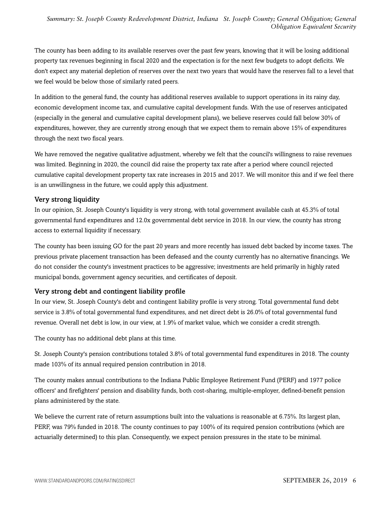The county has been adding to its available reserves over the past few years, knowing that it will be losing additional property tax revenues beginning in fiscal 2020 and the expectation is for the next few budgets to adopt deficits. We don't expect any material depletion of reserves over the next two years that would have the reserves fall to a level that we feel would be below those of similarly rated peers.

In addition to the general fund, the county has additional reserves available to support operations in its rainy day, economic development income tax, and cumulative capital development funds. With the use of reserves anticipated (especially in the general and cumulative capital development plans), we believe reserves could fall below 30% of expenditures, however, they are currently strong enough that we expect them to remain above 15% of expenditures through the next two fiscal years.

We have removed the negative qualitative adjustment, whereby we felt that the council's willingness to raise revenues was limited. Beginning in 2020, the council did raise the property tax rate after a period where council rejected cumulative capital development property tax rate increases in 2015 and 2017. We will monitor this and if we feel there is an unwillingness in the future, we could apply this adjustment.

#### Very strong liquidity

In our opinion, St. Joseph County's liquidity is very strong, with total government available cash at 45.3% of total governmental fund expenditures and 12.0x governmental debt service in 2018. In our view, the county has strong access to external liquidity if necessary.

The county has been issuing GO for the past 20 years and more recently has issued debt backed by income taxes. The previous private placement transaction has been defeased and the county currently has no alternative financings. We do not consider the county's investment practices to be aggressive; investments are held primarily in highly rated municipal bonds, government agency securities, and certificates of deposit.

#### Very strong debt and contingent liability profile

In our view, St. Joseph County's debt and contingent liability profile is very strong. Total governmental fund debt service is 3.8% of total governmental fund expenditures, and net direct debt is 26.0% of total governmental fund revenue. Overall net debt is low, in our view, at 1.9% of market value, which we consider a credit strength.

The county has no additional debt plans at this time.

St. Joseph County's pension contributions totaled 3.8% of total governmental fund expenditures in 2018. The county made 103% of its annual required pension contribution in 2018.

The county makes annual contributions to the Indiana Public Employee Retirement Fund (PERF) and 1977 police officers' and firefighters' pension and disability funds, both cost-sharing, multiple-employer, defined-benefit pension plans administered by the state.

We believe the current rate of return assumptions built into the valuations is reasonable at 6.75%. Its largest plan, PERF, was 79% funded in 2018. The county continues to pay 100% of its required pension contributions (which are actuarially determined) to this plan. Consequently, we expect pension pressures in the state to be minimal.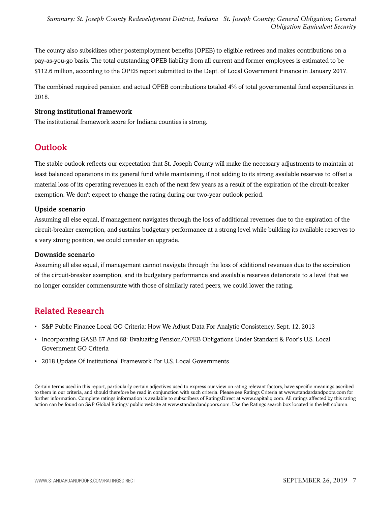The county also subsidizes other postemployment benefits (OPEB) to eligible retirees and makes contributions on a pay-as-you-go basis. The total outstanding OPEB liability from all current and former employees is estimated to be \$112.6 million, according to the OPEB report submitted to the Dept. of Local Government Finance in January 2017.

The combined required pension and actual OPEB contributions totaled 4% of total governmental fund expenditures in 2018.

#### Strong institutional framework

<span id="page-6-0"></span>The institutional framework score for Indiana counties is strong.

## **Outlook**

The stable outlook reflects our expectation that St. Joseph County will make the necessary adjustments to maintain at least balanced operations in its general fund while maintaining, if not adding to its strong available reserves to offset a material loss of its operating revenues in each of the next few years as a result of the expiration of the circuit-breaker exemption. We don't expect to change the rating during our two-year outlook period.

#### Upside scenario

Assuming all else equal, if management navigates through the loss of additional revenues due to the expiration of the circuit-breaker exemption, and sustains budgetary performance at a strong level while building its available reserves to a very strong position, we could consider an upgrade.

#### Downside scenario

Assuming all else equal, if management cannot navigate through the loss of additional revenues due to the expiration of the circuit-breaker exemption, and its budgetary performance and available reserves deteriorate to a level that we no longer consider commensurate with those of similarly rated peers, we could lower the rating.

## <span id="page-6-1"></span>Related Research

- S&P Public Finance Local GO Criteria: How We Adjust Data For Analytic Consistency, Sept. 12, 2013
- Incorporating GASB 67 And 68: Evaluating Pension/OPEB Obligations Under Standard & Poor's U.S. Local Government GO Criteria
- 2018 Update Of Institutional Framework For U.S. Local Governments

Certain terms used in this report, particularly certain adjectives used to express our view on rating relevant factors, have specific meanings ascribed to them in our criteria, and should therefore be read in conjunction with such criteria. Please see Ratings Criteria at www.standardandpoors.com for further information. Complete ratings information is available to subscribers of RatingsDirect at www.capitaliq.com. All ratings affected by this rating action can be found on S&P Global Ratings' public website at www.standardandpoors.com. Use the Ratings search box located in the left column.